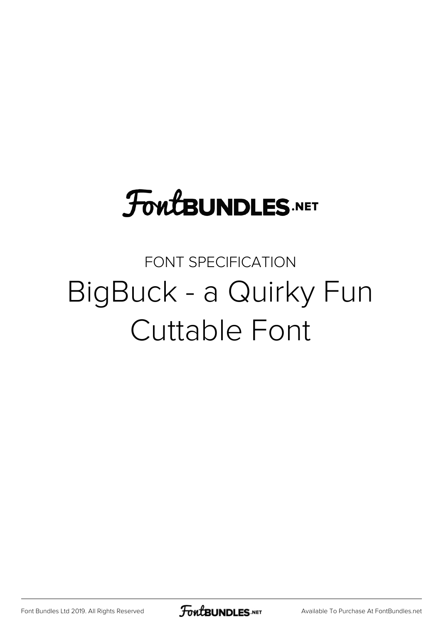# **FoutBUNDLES.NET**

#### FONT SPECIFICATION BigBuck - a Quirky Fun Cuttable Font

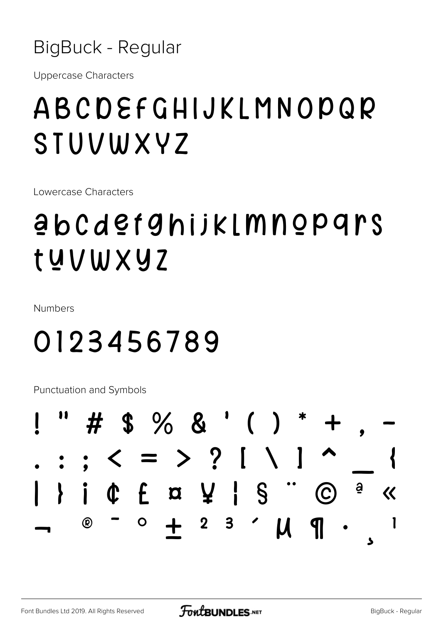BigBuck - Regular

**Uppercase Characters** 

### ABCDEFGHIJKLMNOPQR STUVWXYZ

Lowercase Characters

## <u>abcdefghijklmnopgrs</u> tuvwxyz

Numbers

#### 0123456789

**Punctuation and Symbols** 

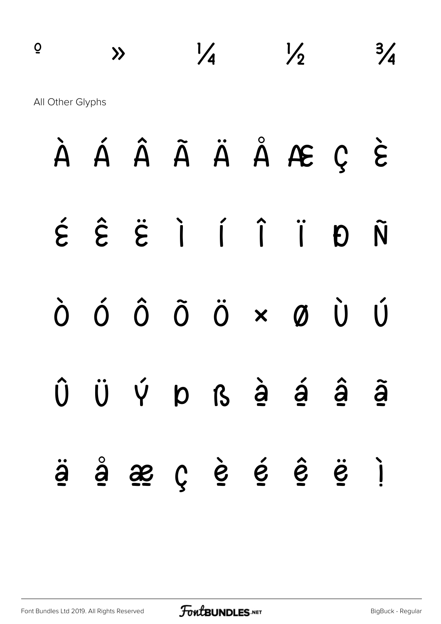| $\overline{Q}$   | $\lambda$          |                      | $\frac{1}{4}$ |              |                                                   | $\frac{1}{2}$             |                          |                      |                    |  |
|------------------|--------------------|----------------------|---------------|--------------|---------------------------------------------------|---------------------------|--------------------------|----------------------|--------------------|--|
| All Other Glyphs |                    |                      |               |              |                                                   |                           |                          |                      |                    |  |
|                  | À                  | Á                    |               |              |                                                   |                           | ÂÃ Ä Ä Å Æ Ç             |                      | $\grave{\epsilon}$ |  |
|                  | $\acute{\epsilon}$ |                      |               |              | $\hat{E}$ $\hat{E}$ $\hat{I}$ $\hat{I}$ $\hat{I}$ |                           |                          | Đ                    | Ñ                  |  |
|                  | Ò                  | $\acute{\mathrm{O}}$ | $\hat{0}$     | $\tilde{0}$  | $\ddot{\mathrm{o}}$                               | $\boldsymbol{\mathsf{x}}$ | $\boldsymbol{\emptyset}$ | $\mathbf{\grave{U}}$ | Ú                  |  |
|                  | Û                  | Ü                    | Ý             | $\mathsf{p}$ | $\boldsymbol{\beta}$                              | $\dot{a}$                 | $\acute{a}$              | $\hat{\mathbf{a}}$   | ã                  |  |

ä å æ ç è é ê ë ì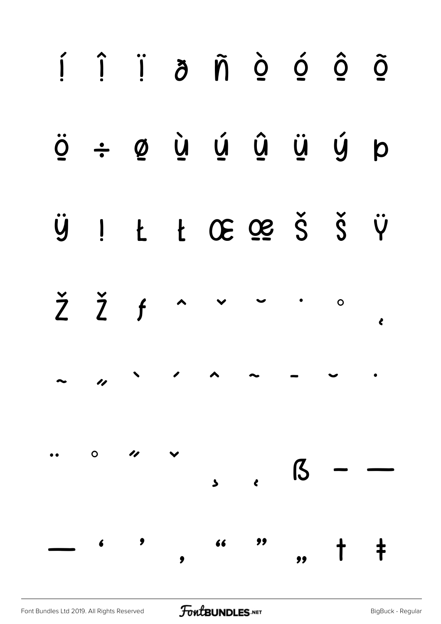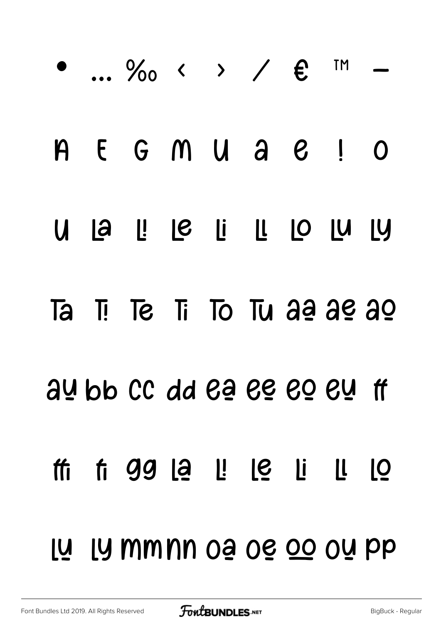|  | $\bullet$ $\%$ < > / $\epsilon$ m |  |  |  |
|--|-----------------------------------|--|--|--|
|  | A E G M U A C ! O                 |  |  |  |
|  | U la l! le li ll lo lu ly         |  |  |  |
|  | Ta Ti Te Ti To Tu aa ae ao        |  |  |  |
|  | au bb CC dd ea ee eo eu ff        |  |  |  |
|  | th ti 99 lạ l! lệ li l! lộ        |  |  |  |
|  | <u>lụ ly mmnn oạ oẹ oo oụ pp</u>  |  |  |  |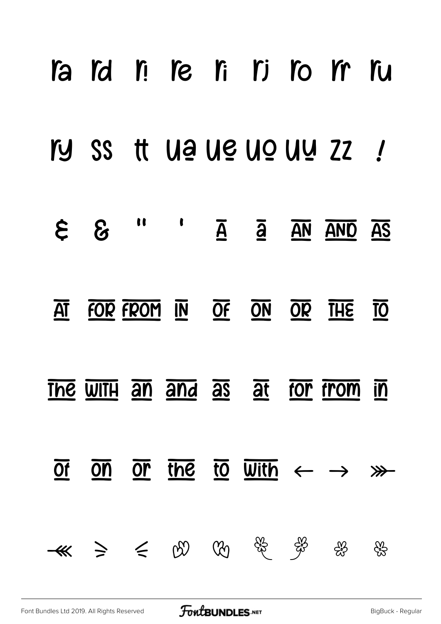|                         |                                                              |  |  | l'a l'a ri re li ri ro m ru                                                                                                                                                                                                                                                                                                                                                         |      |
|-------------------------|--------------------------------------------------------------|--|--|-------------------------------------------------------------------------------------------------------------------------------------------------------------------------------------------------------------------------------------------------------------------------------------------------------------------------------------------------------------------------------------|------|
|                         |                                                              |  |  | I'D SS tt Ua Ue Uo Uu ZZ !                                                                                                                                                                                                                                                                                                                                                          |      |
|                         |                                                              |  |  | $\epsilon$ & $\mu$ $\alpha$ $\overline{A}$ $\overline{A}$ $\overline{A}$ $\overline{A}$ $\overline{A}$ $\overline{A}$ $\overline{A}$ $\overline{A}$ $\overline{A}$ $\overline{A}$ $\overline{A}$ $\overline{A}$ $\overline{A}$ $\overline{A}$ $\overline{A}$ $\overline{A}$ $\overline{A}$ $\overline{A}$ $\overline{A}$ $\overline{A}$ $\overline{A}$ $\overline{A}$ $\overline{A$ |      |
| $\overline{\mathbf{A}}$ |                                                              |  |  | FOR FROM IN OF ON OR THE TO                                                                                                                                                                                                                                                                                                                                                         |      |
|                         |                                                              |  |  | The WITH an and as at for from in                                                                                                                                                                                                                                                                                                                                                   |      |
| $\overline{Of}$         | $\overline{on}$                                              |  |  | or the to with $\leftarrow$ $\rightarrow$ $\gg$                                                                                                                                                                                                                                                                                                                                     |      |
|                         | $-48$ $\geq$ $\leq$ $00$ $00$ $\frac{25}{3}$ $\frac{25}{32}$ |  |  | ද%                                                                                                                                                                                                                                                                                                                                                                                  | දිරි |